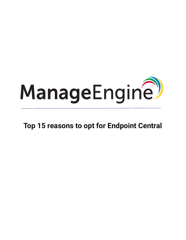

**Top 15 reasons to opt for Endpoint Central**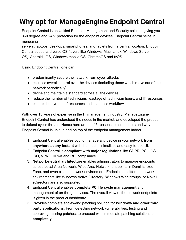## **Why opt for ManageEngine Endpoint Central**

Endpoint Central is an Unified Endpoint Management and Security solution giving you 360 degree and 24\*7 protection for the endpoint devices. Endpoint Central helps in managing

servers, laptops, desktops, smartphones, and tablets from a central location. Endpoint Central supports diverse OS flavors like Windows, Mac, Linux, Windows Server OS, Android, iOS, Windows mobile OS, ChromeOS and tvOS.

Using Endpoint Central, one can

- predominantly secure the network from cyber attacks
- exercise overall control over the devices (including those which move out of the network periodically)
- define and maintain a standard across all the devices
- reduce the number of technicians, wastage of technician hours, and IT resources
- ensure deployment of resources and seamless workflow

With over 15 years of expertise in the IT management industry, ManageEngine Endpoint Central has understood the needs in the market, and developed the product to defend cyber-threats. Hence here are top 15 reasons to help understand why Endpoint Central is unique and on top of the endpoint management ladder.

- 1. Endpoint Central enables you to manage any device in your network **from anywhere at any instant** with the most minimalistic and easy-to-use UI.
- 2. Endpoint Central is **compliant with major regulations** like GDPR, PCI, CIS, ISO, VPAT, HIPAA and RBI compliance.
- 3. **Network-neutral architecture** enables administrators to manage endpoints across Local Area Network, Wide Area Network, endpoints in Demilitarized Zone, and even closed network environment. Endpoints in different network environments like Windows Active Directory, Windows Workgroups, or Novell eDirectory are also supported.
- 4. Endpoint Central enables **complete PC life cycle management** and management of on-the-go devices. The overall view of the network endpoints is given in the product dashboard.
- 5. Provides complete end-to-end patching solution for **Windows and other third party applications**. From detecting network vulnerabilities, testing and approving missing patches, to proceed with immediate patching solutions or **completely**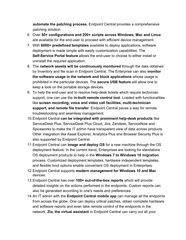**automate the patching process**, Endpoint Central provides a comprehensive patching solution.

- 6. Over **50+ configurations and 200+ scripts across Windows, Mac and Linux** are available for the end-user to proceed with efficient device management.
- 7. With **6000+ predefined templates** available to deploy applications, software deployment is made simple with easily customization capabilities. The **Self-Service Portal feature** allows the end-user to choose to either install or uninstall the required application.
- 8. The **network assets will be continuously monitored** through the data obtained by Inventory and file scan in Endpoint Central. The Enterprise can also **monitor the software usage in the network and block applications** whose usage is prohibited in the particular devices. The **secure USB feature** will allow one to keep a look on the portable storage devices.
- 9. To help the end-user and to resolve help-desk tickets which require technician support, one can use the **in-built remote control tool**. Loaded with functionalities like **screen recording, voice and video call facilities, multi-technician support, and remote file transfer**. Endpoint Central paves a way for remote troubleshooting and seamless management.
- 10.Endpoint Central **can be integrated with prominent help-desk products** like ServiceDesk Plus, ServiceDesk Plus Cloud, Jira, Zendesk, ServiceNow and Spiceworks to make the IT admin have transparent view of data across products. Other integration like Asset Explorer, Analytics Plus and Browser Security Plus is also supported by Endpoint Central.
- 11.Endpoint Central can **image and deploy OS** for a new machine through the OS deployment feature. In the current trend, Enterprises are looking for standalone OS deployment products to help in the **Windows 7 to Windows 10 migration** process. Customized deployment templates, hardware independent templates, and flexible boot options enable convenient OS deployment in Enterprises.
- 12.Endpoint Central supports **modern management for Windows 10 and Mac**  devices.
- 13.Endpoint Central has over **100+ out-of-the-box reports** which will provide detailed insights on the actions performed in the endpoints. Custom reports can also be generated according to one's needs and preferences.
- 14.An IT admin with the **Endpoint Central mobile app** can manage all the endpoints from across the globe. One can deploy critical patches, obtain complete hardware and software reports and even take remote control of the endpoints in the network. **Zia, the virtual assistant** in Endpoint Central can carry out all your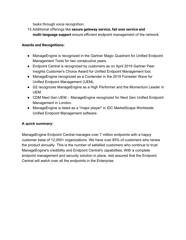tasks through voice recognition.

15.Additional offerings like **secure gateway service, fail over service and multi-language support** ensure efficient endpoint management of the network.

## **Awards and Recognitions:**

- ManageEngine is recognized in the Gartner Magic Quadrant for Unified Endpoint Management Tools for two consecutive years.
- Endpoint Central is recognized by customers as on April 2019 Gartner Peer Insights Customer's Choice Award for Unified Endpoint Management tool.
- ManageEngine recognized as a Contender in the 2019 Forrester Wave for Unified Endpoint Management (UEM).
- G2 recognizes ManageEngine as a High Performer and the Momentum Leader in UEM.
- CDM Next Gen UEM ManageEngine recognized for Next Gen Unified Endpoint Management in London.
- ManageEngine is listed as a "major player" in IDC MarketScape Worldwide Unified Endpoint Management software.

## **A quick summary:**

ManageEngine Endpoint Central manages over 7 million endpoints with a happy customer base of 12,000+ organizations. We have over 85% of customers who renew the product annually. This is the number of satisfied customers who continue to trust ManageEngine's credibility and Endpoint Central's capabilities. With a complete endpoint management and security solution in place, rest assured that the Endpoint Central will watch over all the endpoints in the Enterprise.